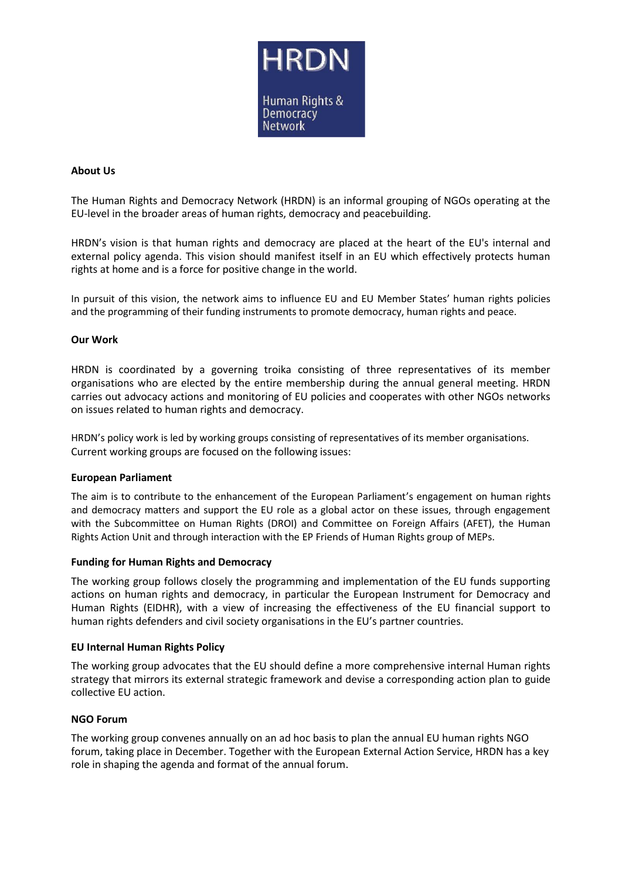

# **About Us**

The Human Rights and Democracy Network (HRDN) is an informal grouping of NGOs operating at the EU-level in the broader areas of human rights, democracy and peacebuilding.

HRDN's vision is that human rights and democracy are placed at the heart of the EU's internal and external policy agenda. This vision should manifest itself in an EU which effectively protects human rights at home and is a force for positive change in the world.

In pursuit of this vision, the network aims to influence EU and EU Member States' human rights policies and the programming of their funding instruments to promote democracy, human rights and peace.

#### **Our Work**

HRDN is coordinated by a governing troika consisting of three representatives of its member organisations who are elected by the entire membership during the annual general meeting. HRDN carries out advocacy actions and monitoring of EU policies and cooperates with other NGOs networks on issues related to human rights and democracy.

HRDN's policy work is led by working groups consisting of representatives of its member organisations. Current working groups are focused on the following issues:

#### **European Parliament**

The aim is to contribute to the enhancement of the European Parliament's engagement on human rights and democracy matters and support the EU role as a global actor on these issues, through engagement with the Subcommittee on Human Rights (DROI) and Committee on Foreign Affairs (AFET), the Human Rights Action Unit and through interaction with the EP Friends of Human Rights group of MEPs.

#### **Funding for Human Rights and Democracy**

The working group follows closely the programming and implementation of the EU funds supporting actions on human rights and democracy, in particular the European Instrument for Democracy and Human Rights (EIDHR), with a view of increasing the effectiveness of the EU financial support to human rights defenders and civil society organisations in the EU's partner countries.

#### **EU Internal Human Rights Policy**

The working group advocates that the EU should define a more comprehensive internal Human rights strategy that mirrors its external strategic framework and devise a corresponding action plan to guide collective EU action.

#### **NGO Forum**

The working group convenes annually on an ad hoc basis to plan the annual EU human rights NGO forum, taking place in December. Together with the European External Action Service, HRDN has a key role in shaping the agenda and format of the annual forum.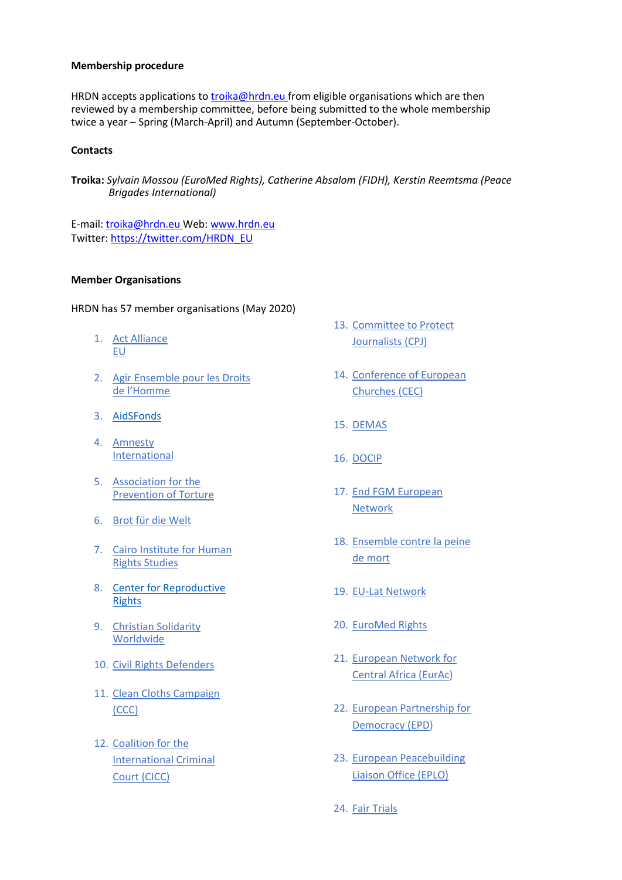## **Membership procedure**

HRDN accepts applications to [troika@hrdn.eu](mailto:troika@hrdn.eu) from eligible organisations which are then reviewed by a membership committee, before being submitted to the whole membership twice a year – Spring (March-April) and Autumn (September-October).

## **Contacts**

**Troika:** *Sylvain Mossou (EuroMed Rights), Catherine Absalom (FIDH), Kerstin Reemtsma (Peace Brigades International)*

E-mail: [troika@hrdn.eu](mailto:troika@hrdn.eu) Web: [www.hrdn.eu](http://www.hrdn.eu/) Twitter: [https://twitter.com/HRDN\\_EU](https://twitter.com/HRDN_EU)

## **Member Organisations**

HRDN has 57 member organisations (May 2020)

- 1. [Act Alliance](https://actalliance.eu/)  [EU](https://actalliance.eu/)
- 2. [Agir Ensemble pour les Droits](http://www.aedh.org/)  de l['Homme](http://www.aedh.org/)
- 3. [AidSFonds](https://aidsfonds.org/about-aidsfonds)
- 4. [Amnesty](http://www.amnesty.eu/)  [International](http://www.amnesty.eu/)
- 5. [Association for the](http://www.apt.ch/)  [Prevention of Torture](http://www.apt.ch/)
- 6. [Brot für die Welt](http://www.brot-fuer-die-welt.de/)
- 7. [Cairo Institute for Human](https://cihrs.org/?lang=en) [Rights Studies](https://cihrs.org/?lang=en)
- 8. [Center for Reproductive](https://beta.reproductiverights.org/)  [Rights](https://beta.reproductiverights.org/)
- 9. [Christian Solidarity](http://www.csw.org.uk/)  [Worldwide](http://www.csw.org.uk/)
- 10. Civil [Rights Defenders](https://crd.org/)
- 11. [Clean Cloths Campaign](https://cleanclothes.org/)  [\(CCC\)](https://cleanclothes.org/)
- 12. [Coalition for the](http://www.coalitionfortheicc.org/)  [International Criminal](http://www.coalitionfortheicc.org/)  [Court \(CICC\)](http://www.coalitionfortheicc.org/)
- 13. [Committee to Protect](https://www.cpj.org/)  [Journalists \(CPJ\)](https://www.cpj.org/)
- 14. [Conference of European](http://www.ceceurope.org/)  [Churches \(CEC\)](http://www.ceceurope.org/)
- 15. [DEMAS](http://www.demas.cz/)
- 16. [DOCIP](https://www.docip.org/en/)
- 17. [End FGM European](http://www.endfgm.eu/)  [Network](http://www.endfgm.eu/)
- 18. Ensemble contre la peine de mort
- 19. EU-Lat Network
- 20. [EuroMed Rights](http://www.euromedrights.org/)
- 21. [European Network for](https://www.eurac-network.org/en)  [Central Africa \(EurAc\)](https://www.eurac-network.org/en)
- 22. [European Partnership for](http://www.epd.eu/)  [Democracy \(EPD\)](http://www.epd.eu/)
- 23. [European Peacebuilding](http://www.eplo.org/)  [Liaison Office \(EPLO\)](http://www.eplo.org/)
- 24. [Fair Trials](http://www.fairtrials.org/)